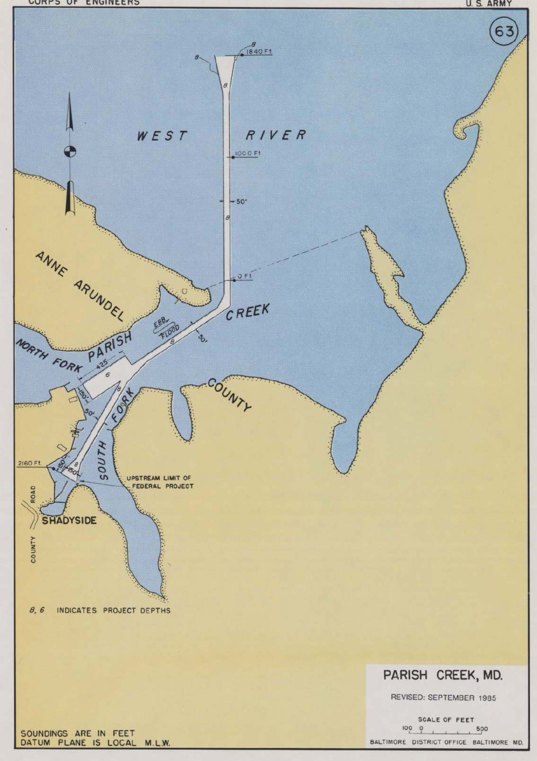**CORPS OF ENGINEERS** 

## U. S. ARMY